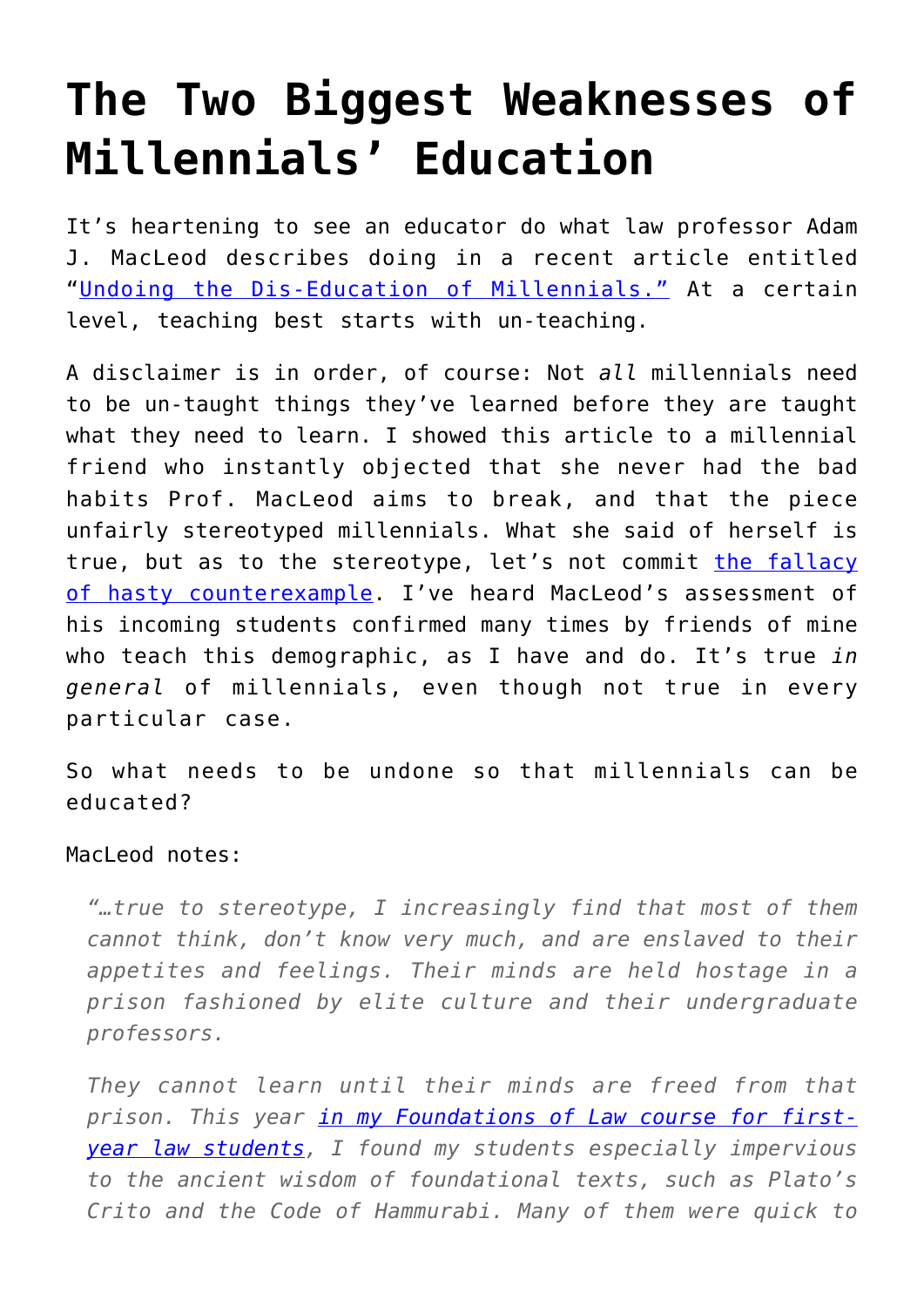## **[The Two Biggest Weaknesses of](https://intellectualtakeout.org/2017/11/the-two-biggest-weaknesses-of-millennials-education/) [Millennials' Education](https://intellectualtakeout.org/2017/11/the-two-biggest-weaknesses-of-millennials-education/)**

It's heartening to see an educator do what law professor Adam J. MacLeod describes doing in a recent article entitled "[Undoing the Dis-Education of Millennials."](http://newbostonpost.com/2017/11/09/undoing-the-dis-education-of-millennials/) At a certain level, teaching best starts with un-teaching.

A disclaimer is in order, of course: Not *all* millennials need to be un-taught things they've learned before they are taught what they need to learn. I showed this article to a millennial friend who instantly objected that she never had the bad habits Prof. MacLeod aims to break, and that the piece unfairly stereotyped millennials. What she said of herself is true, but as to the stereotype, let's not commit [the fallacy](https://www.intellectualtakeout.org/blog/logical-fallacy-hasty-counter-example) [of hasty counterexample.](https://www.intellectualtakeout.org/blog/logical-fallacy-hasty-counter-example) I've heard MacLeod's assessment of his incoming students confirmed many times by friends of mine who teach this demographic, as I have and do. It's true *in general* of millennials, even though not true in every particular case.

So what needs to be undone so that millennials can be educated?

## MacLeod notes:

*"…true to stereotype, I increasingly find that most of them cannot think, don't know very much, and are enslaved to their appetites and feelings. Their minds are held hostage in a prison fashioned by elite culture and their undergraduate professors.*

*They cannot learn until their minds are freed from that prison. This year [in my Foundations of Law course for first](https://www.jamesgmartin.center/2017/07/law-schools-guard-entry-profession-teach-virtue/)[year law students,](https://www.jamesgmartin.center/2017/07/law-schools-guard-entry-profession-teach-virtue/) I found my students especially impervious to the ancient wisdom of foundational texts, such as Plato's Crito and the Code of Hammurabi. Many of them were quick to*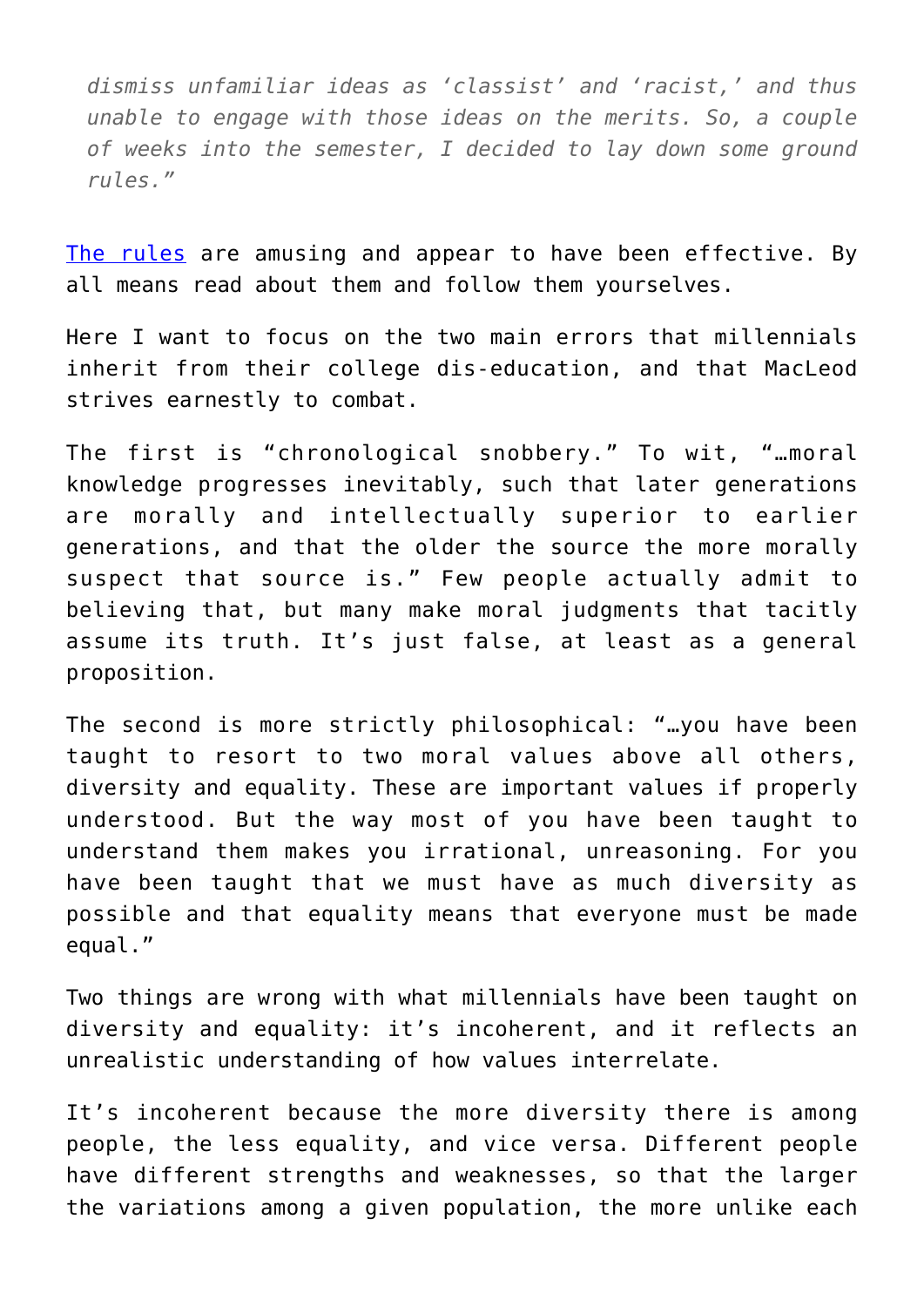*dismiss unfamiliar ideas as 'classist' and 'racist,' and thus unable to engage with those ideas on the merits. So, a couple of weeks into the semester, I decided to lay down some ground rules."*

[The rules](https://www.intellectualtakeout.org/article/professor-makes-students-cluck-chicken-when-beginning-statement-i-feel) are amusing and appear to have been effective. By all means read about them and follow them yourselves.

Here I want to focus on the two main errors that millennials inherit from their college dis-education, and that MacLeod strives earnestly to combat.

The first is "chronological snobbery." To wit, "…moral knowledge progresses inevitably, such that later generations are morally and intellectually superior to earlier generations, and that the older the source the more morally suspect that source is." Few people actually admit to believing that, but many make moral judgments that tacitly assume its truth. It's just false, at least as a general proposition.

The second is more strictly philosophical: "…you have been taught to resort to two moral values above all others, diversity and equality. These are important values if properly understood. But the way most of you have been taught to understand them makes you irrational, unreasoning. For you have been taught that we must have as much diversity as possible and that equality means that everyone must be made equal."

Two things are wrong with what millennials have been taught on diversity and equality: it's incoherent, and it reflects an unrealistic understanding of how values interrelate.

It's incoherent because the more diversity there is among people, the less equality, and vice versa. Different people have different strengths and weaknesses, so that the larger the variations among a given population, the more unlike each